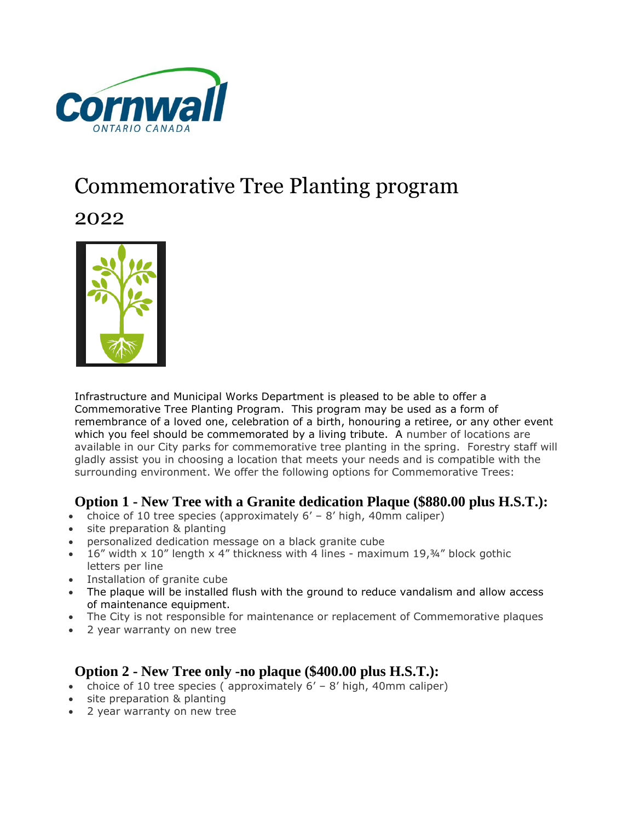

# Commemorative Tree Planting program

2022



Infrastructure and Municipal Works Department is pleased to be able to offer a Commemorative Tree Planting Program. This program may be used as a form of remembrance of a loved one, celebration of a birth, honouring a retiree, or any other event which you feel should be commemorated by a living tribute. A number of locations are available in our City parks for commemorative tree planting in the spring. Forestry staff will gladly assist you in choosing a location that meets your needs and is compatible with the surrounding environment. We offer the following options for Commemorative Trees:

# **Option 1 - New Tree with a Granite dedication Plaque (\$880.00 plus H.S.T.):**

- choice of 10 tree species (approximately  $6'$   $8'$  high, 40mm caliper)
- site preparation & planting
- personalized dedication message on a black granite cube
- 16" width x 10" length x 4" thickness with 4 lines maximum 19,¾" block gothic letters per line
- Installation of granite cube
- The plaque will be installed flush with the ground to reduce vandalism and allow access of maintenance equipment.
- The City is not responsible for maintenance or replacement of Commemorative plaques
- 2 year warranty on new tree

# **Option 2 - New Tree only -no plaque (\$400.00 plus H.S.T.):**

- choice of 10 tree species ( approximately 6' 8' high, 40mm caliper)
- site preparation & planting
- 2 year warranty on new tree